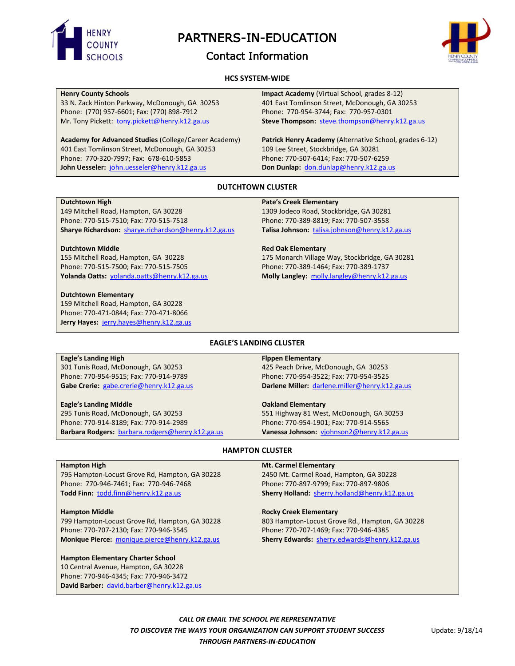

PARTNERS-IN-EDUCATION

# Contact Information



# **HCS SYSTEM-WIDE**

# **Henry County Schools**

33 N. Zack Hinton Parkway, McDonough, GA 30253 Phone: (770) 957-6601; Fax: (770) 898-7912 Mr. Tony Pickett: [tony.pickett@henry.k12.ga.us](mailto:tony.pickett@henry.k12.ga.us)

**Academy for Advanced Studies** (College/Career Academy) 401 East Tomlinson Street, McDonough, GA 30253 Phone: 770-320-7997; Fax: 678-610-5853 **John Uesseler:** [john.uesseler@henry.k12.ga.us](mailto:john.uesseler@henry.k12.ga.us)

**Impact Academy** (Virtual School, grades 8-12) 401 East Tomlinson Street, McDonough, GA 30253 Phone: 770-954-3744; Fax: 770-957-0301 **Steve Thompson:** [steve.thompson@henry.k12.ga.us](mailto:steve.thompson@henry.k12.ga.us)

**Patrick Henry Academy** (Alternative School, grades 6-12) 109 Lee Street, Stockbridge, GA 30281 Phone: 770-507-6414; Fax: 770-507-6259 **Don Dunlap:** [don.dunlap@henry.k12.ga.us](mailto:don.dunlap@henry.k12.ga.us)

# **DUTCHTOWN CLUSTER**

#### **Dutchtown High**

149 Mitchell Road, Hampton, GA 30228 Phone: 770-515-7510; Fax: 770-515-7518 **Sharye Richardson:** [sharye.richardson@henry.k12.ga.us](mailto:sharye.richardson@henry.k12.ga.us)

#### **Dutchtown Middle**

155 Mitchell Road, Hampton, GA 30228 Phone: 770-515-7500; Fax: 770-515-7505 **Yolanda Oatts:** [yolanda.oatts@henry.k12.ga.us](mailto:yolanda.oatts@henry.k12.ga.us)

#### **Dutchtown Elementary**

159 Mitchell Road, Hampton, GA 30228 Phone: 770-471-0844; Fax: 770-471-8066 **Jerry Hayes:** [jerry.hayes@henry.k12.ga.us](mailto:jerry.hayes@henry.k12.ga.us)

#### **Pate's Creek Elementary**

1309 Jodeco Road, Stockbridge, GA 30281 Phone: 770-389-8819; Fax: 770-507-3558 **Talisa Johnson:** [talisa.johnson@henry.k12.ga.us](mailto:talisa.johnson@henry.k12.ga.us)

#### **Red Oak Elementary**

175 Monarch Village Way, Stockbridge, GA 30281 Phone: 770-389-1464; Fax: 770-389-1737 **Molly Langley:** [molly.langley@henry.k12.ga.us](mailto:molly.langley@henry.k12.ga.us)

# **EAGLE'S LANDING CLUSTER**

# **Eagle's Landing High**

301 Tunis Road, McDonough, GA 30253 Phone: 770-954-9515; Fax: 770-914-9789 **Gabe Crerie:** [gabe.crerie@henry.k12.ga.us](mailto:gabe.crerie@henry.k12.ga.us)

#### **Eagle's Landing Middle**

295 Tunis Road, McDonough, GA 30253 Phone: 770-914-8189; Fax: 770-914-2989 **Barbara Rodgers:** [barbara.rodgers@henry.k12.ga.us](mailto:barbara.rodgers@henry.k12.ga.us)

# **Flppen Elementary**

425 Peach Drive, McDonough, GA 30253 Phone: 770-954-3522; Fax: 770-954-3525 **Darlene Miller:** [darlene.miller@henry.k12.ga.us](mailto:darlene.miller@henry.k12.ga.us)

#### **Oakland Elementary**

551 Highway 81 West, McDonough, GA 30253 Phone: 770-954-1901; Fax: 770-914-5565 **Vanessa Johnson:** [vjohnson2@henry.k12.ga.us](mailto:vjohnson2@henry.k12.ga.us)

# **HAMPTON CLUSTER**

#### **Hampton High**

795 Hampton-Locust Grove Rd, Hampton, GA 30228 Phone: 770-946-7461; Fax: 770-946-7468 **Todd Finn:** [todd.finn@henry.k12.ga.us](mailto:todd.finn@henry.k12.ga.us) 

# **Hampton Middle**

799 Hampton-Locust Grove Rd, Hampton, GA 30228 Phone: 770-707-2130; Fax: 770-946-3545 **Monique Pierce:** [monique.pierce@henry.k12.ga.us](mailto:monique.pierce@henry.k12.ga.us)

# **Hampton Elementary Charter School**

10 Central Avenue, Hampton, GA 30228 Phone: 770-946-4345; Fax: 770-946-3472 **David Barber:** [david.barber@henry.k12.ga.us](mailto:david.barber@henry.k12.ga.us)

#### **Mt. Carmel Elementary**

2450 Mt. Carmel Road, Hampton, GA 30228 Phone: 770-897-9799; Fax: 770-897-9806 **Sherry Holland:** [sherry.holland@henry.k12.ga.us](mailto:sherry.holland@henry.k12.ga.us)

#### **Rocky Creek Elementary**

803 Hampton-Locust Grove Rd., Hampton, GA 30228 Phone: 770-707-1469; Fax: 770-946-4385 **Sherry Edwards:** [sherry.edwards@henry.k12.ga.us](mailto:sherry.edwards@henry.k12.ga.us)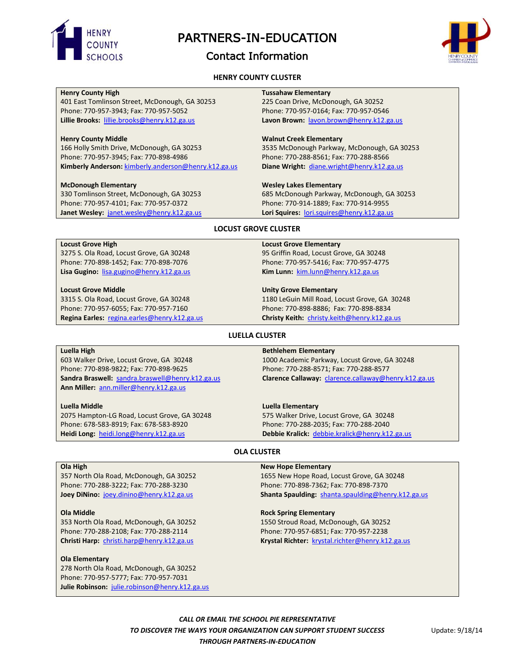

# PARTNERS-IN-EDUCATION

# Contact Information



# **HENRY COUNTY CLUSTER**

# **Henry County High**

401 East Tomlinson Street, McDonough, GA 30253 Phone: 770-957-3943; Fax: 770-957-5052 **Lillie Brooks:** [lillie.brooks@henry.k12.ga.us](mailto:lillie.brooks@henry.k12.ga.us)

#### **Henry County Middle**

166 Holly Smith Drive, McDonough, GA 30253 Phone: 770-957-3945; Fax: 770-898-4986 **Kimberly Anderson:** [kimberly.anderson@henry.k12.ga.us](mailto:kimberly.anderson@henry.k12.ga.us)

# **McDonough Elementary**

330 Tomlinson Street, McDonough, GA 30253 Phone: 770-957-4101; Fax: 770-957-0372 **Janet Wesley:** [janet.wesley@henry.k12.ga.us](mailto:janet.wesley@henry.k12.ga.us) **Tussahaw Elementary** 225 Coan Drive, McDonough, GA 30252 Phone: 770-957-0164; Fax: 770-957-0546 **Lavon Brown:** [lavon.brown@henry.k12.ga.us](mailto:lavon.brown@henry.k12.ga.us)

#### **Walnut Creek Elementary**

3535 McDonough Parkway, McDonough, GA 30253 Phone: 770-288-8561; Fax: 770-288-8566 **Diane Wright:** [diane.wright@henry.k12.ga.us](mailto:diane.wright@henry.k12.ga.us)

#### **Wesley Lakes Elementary**

685 McDonough Parkway, McDonough, GA 30253 Phone: 770-914-1889; Fax: 770-914-9955 **Lori Squires:** [lori.squires@henry.k12.ga.us](mailto:lori.squires@henry.k12.ga.us)

#### **LOCUST GROVE CLUSTER**

# **Locust Grove High**

3275 S. Ola Road, Locust Grove, GA 30248 Phone: 770-898-1452; Fax: 770-898-7076 **Lisa Gugino:** [lisa.gugino@henry.k12.ga.us](mailto:lisa.gugino@henry.k12.ga.us)

# **Locust Grove Middle**

3315 S. Ola Road, Locust Grove, GA 30248 Phone: 770-957-6055; Fax: 770-957-7160 **Regina Earles:** [regina.earles@henry.k12.ga.us](mailto:regina.earles@henry.k12.ga.us)

#### **Locust Grove Elementary**

95 Griffin Road, Locust Grove, GA 30248 Phone: 770-957-5416; Fax: 770-957-4775 **Kim Lunn:** [kim.lunn@henry.k12.ga.us](mailto:kim.lunn@henry.k12.ga.us)

#### **Unity Grove Elementary**

1180 LeGuin Mill Road, Locust Grove, GA 30248 Phone: 770-898-8886; Fax: 770-898-8834 **Christy Keith:** [christy.keith@henry.k12.ga.us](mailto:christy.keith@henry.k12.ga.us)

# **LUELLA CLUSTER**

#### **Luella High**

603 Walker Drive, Locust Grove, GA 30248 Phone: 770-898-9822; Fax: 770-898-9625 **Sandra Braswell:** [sandra.braswell@henry.k12.ga.us](mailto:sandra.braswell@henry.k12.ga.us) **Ann Miller:** [ann.miller@henry.k12.ga.us](mailto:ann.miller@henry.k12.ga.us)

#### **Luella Middle**

2075 Hampton-LG Road, Locust Grove, GA 30248 Phone: 678-583-8919; Fax: 678-583-8920 **Heidi Long:** [heidi.long@henry.k12.ga.us](mailto:heidi.long@henry.k12.ga.us)

#### **Bethlehem Elementary**

1000 Academic Parkway, Locust Grove, GA 30248 Phone: 770-288-8571; Fax: 770-288-8577 **Clarence Callaway:** [clarence.callaway@henry.k12.ga.us](mailto:clarence.callaway@henry.k12.ga.us) 

# **Luella Elementary**

575 Walker Drive, Locust Grove, GA 30248 Phone: 770-288-2035; Fax: 770-288-2040 **Debbie Kralick:** [debbie.kralick@henry.k12.ga.us](mailto:debbie.kralick@henry.k12.ga.us)

# **OLA CLUSTER**

#### **Ola High**

357 North Ola Road, McDonough, GA 30252 Phone: 770-288-3222; Fax: 770-288-3230 **Joey DiNino:** [joey.dinino@henry.k12.ga.us](mailto:joey.dinino@henry.k12.ga.us)

# **Ola Middle**

353 North Ola Road, McDonough, GA 30252 Phone: 770-288-2108; Fax: 770-288-2114 **Christi Harp:** [christi.harp@henry.k12.ga.us](mailto:christi.harp@henry.k12.ga.us)

# **Ola Elementary**

278 North Ola Road, McDonough, GA 30252 Phone: 770-957-5777; Fax: 770-957-7031 **Julie Robinson:** [julie.robinson@henry.k12.ga.us](mailto:julie.robinson@henry.k12.ga.us)

#### **New Hope Elementary**

1655 New Hope Road, Locust Grove, GA 30248 Phone: 770-898-7362; Fax: 770-898-7370 **Shanta Spaulding:** [shanta.spaulding@henry.k12.ga.us](mailto:shanta.spaulding@henry.k12.ga.us)

# **Rock Spring Elementary**

1550 Stroud Road, McDonough, GA 30252 Phone: 770-957-6851; Fax: 770-957-2238 **Krystal Richter:** [krystal.richter@henry.k12.ga.us](mailto:krystal.richter@henry.k12.ga.us)